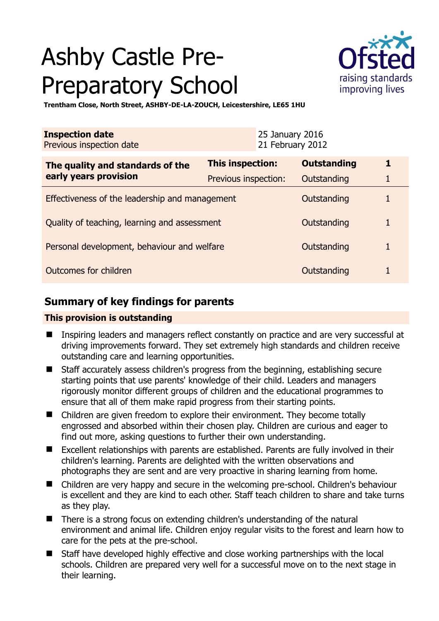# Ashby Castle Pre-Preparatory School



**Trentham Close, North Street, ASHBY-DE-LA-ZOUCH, Leicestershire, LE65 1HU** 

| <b>Inspection date</b><br>25 January 2016<br>21 February 2012<br>Previous inspection date |                         |                    |   |
|-------------------------------------------------------------------------------------------|-------------------------|--------------------|---|
| The quality and standards of the<br>early years provision                                 | <b>This inspection:</b> | <b>Outstanding</b> | 1 |
|                                                                                           | Previous inspection:    | Outstanding        | 1 |
| Effectiveness of the leadership and management                                            |                         | Outstanding        |   |
| Quality of teaching, learning and assessment                                              |                         | Outstanding        | 1 |
| Personal development, behaviour and welfare                                               |                         | Outstanding        | 1 |
| Outcomes for children                                                                     |                         | Outstanding        | 1 |

## **Summary of key findings for parents**

## **This provision is outstanding**

- **Inspiring leaders and managers reflect constantly on practice and are very successful at** driving improvements forward. They set extremely high standards and children receive outstanding care and learning opportunities.
- Staff accurately assess children's progress from the beginning, establishing secure starting points that use parents' knowledge of their child. Leaders and managers rigorously monitor different groups of children and the educational programmes to ensure that all of them make rapid progress from their starting points.
- Children are given freedom to explore their environment. They become totally engrossed and absorbed within their chosen play. Children are curious and eager to find out more, asking questions to further their own understanding.
- Excellent relationships with parents are established. Parents are fully involved in their children's learning. Parents are delighted with the written observations and photographs they are sent and are very proactive in sharing learning from home.
- Children are very happy and secure in the welcoming pre-school. Children's behaviour is excellent and they are kind to each other. Staff teach children to share and take turns as they play.
- There is a strong focus on extending children's understanding of the natural environment and animal life. Children enjoy regular visits to the forest and learn how to care for the pets at the pre-school.
- Staff have developed highly effective and close working partnerships with the local schools. Children are prepared very well for a successful move on to the next stage in their learning.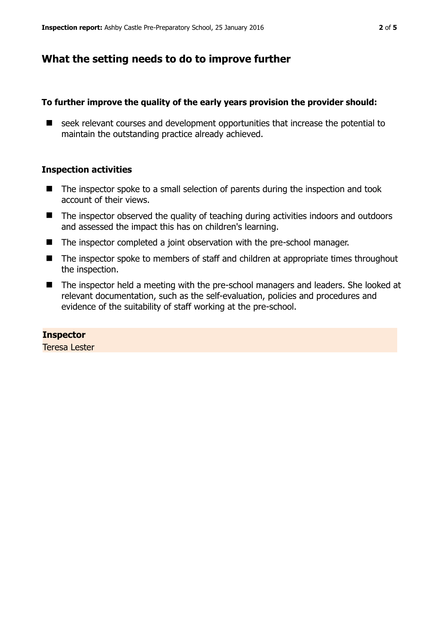## **What the setting needs to do to improve further**

#### **To further improve the quality of the early years provision the provider should:**

seek relevant courses and development opportunities that increase the potential to maintain the outstanding practice already achieved.

#### **Inspection activities**

- $\blacksquare$  The inspector spoke to a small selection of parents during the inspection and took account of their views.
- The inspector observed the quality of teaching during activities indoors and outdoors and assessed the impact this has on children's learning.
- The inspector completed a joint observation with the pre-school manager.
- The inspector spoke to members of staff and children at appropriate times throughout the inspection.
- The inspector held a meeting with the pre-school managers and leaders. She looked at relevant documentation, such as the self-evaluation, policies and procedures and evidence of the suitability of staff working at the pre-school.

#### **Inspector**

Teresa Lester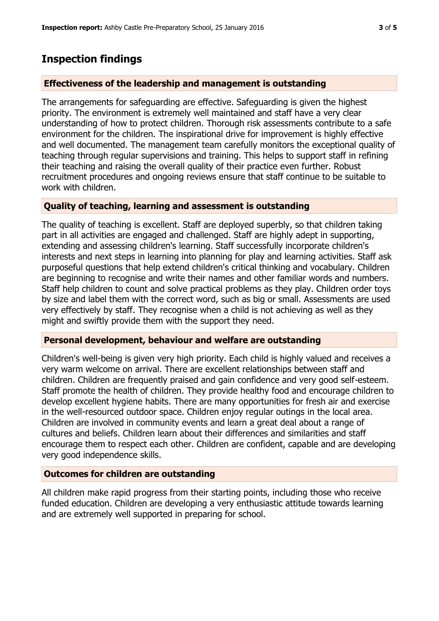## **Inspection findings**

## **Effectiveness of the leadership and management is outstanding**

The arrangements for safeguarding are effective. Safeguarding is given the highest priority. The environment is extremely well maintained and staff have a very clear understanding of how to protect children. Thorough risk assessments contribute to a safe environment for the children. The inspirational drive for improvement is highly effective and well documented. The management team carefully monitors the exceptional quality of teaching through regular supervisions and training. This helps to support staff in refining their teaching and raising the overall quality of their practice even further. Robust recruitment procedures and ongoing reviews ensure that staff continue to be suitable to work with children.

#### **Quality of teaching, learning and assessment is outstanding**

The quality of teaching is excellent. Staff are deployed superbly, so that children taking part in all activities are engaged and challenged. Staff are highly adept in supporting, extending and assessing children's learning. Staff successfully incorporate children's interests and next steps in learning into planning for play and learning activities. Staff ask purposeful questions that help extend children's critical thinking and vocabulary. Children are beginning to recognise and write their names and other familiar words and numbers. Staff help children to count and solve practical problems as they play. Children order toys by size and label them with the correct word, such as big or small. Assessments are used very effectively by staff. They recognise when a child is not achieving as well as they might and swiftly provide them with the support they need.

## **Personal development, behaviour and welfare are outstanding**

Children's well-being is given very high priority. Each child is highly valued and receives a very warm welcome on arrival. There are excellent relationships between staff and children. Children are frequently praised and gain confidence and very good self-esteem. Staff promote the health of children. They provide healthy food and encourage children to develop excellent hygiene habits. There are many opportunities for fresh air and exercise in the well-resourced outdoor space. Children enjoy regular outings in the local area. Children are involved in community events and learn a great deal about a range of cultures and beliefs. Children learn about their differences and similarities and staff encourage them to respect each other. Children are confident, capable and are developing very good independence skills.

## **Outcomes for children are outstanding**

All children make rapid progress from their starting points, including those who receive funded education. Children are developing a very enthusiastic attitude towards learning and are extremely well supported in preparing for school.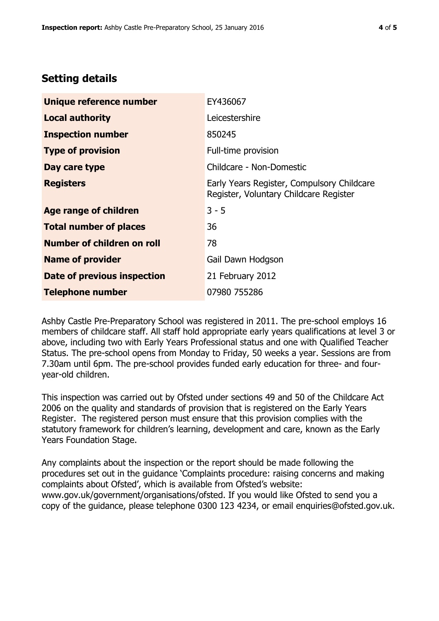## **Setting details**

| Unique reference number       | EY436067                                                                             |  |
|-------------------------------|--------------------------------------------------------------------------------------|--|
| <b>Local authority</b>        | Leicestershire                                                                       |  |
| <b>Inspection number</b>      | 850245                                                                               |  |
| <b>Type of provision</b>      | Full-time provision                                                                  |  |
| Day care type                 | Childcare - Non-Domestic                                                             |  |
| <b>Registers</b>              | Early Years Register, Compulsory Childcare<br>Register, Voluntary Childcare Register |  |
| <b>Age range of children</b>  | $3 - 5$                                                                              |  |
| <b>Total number of places</b> | 36                                                                                   |  |
| Number of children on roll    | 78                                                                                   |  |
| <b>Name of provider</b>       | Gail Dawn Hodgson                                                                    |  |
| Date of previous inspection   | 21 February 2012                                                                     |  |
| <b>Telephone number</b>       | 07980 755286                                                                         |  |

Ashby Castle Pre-Preparatory School was registered in 2011. The pre-school employs 16 members of childcare staff. All staff hold appropriate early years qualifications at level 3 or above, including two with Early Years Professional status and one with Qualified Teacher Status. The pre-school opens from Monday to Friday, 50 weeks a year. Sessions are from 7.30am until 6pm. The pre-school provides funded early education for three- and fouryear-old children.

This inspection was carried out by Ofsted under sections 49 and 50 of the Childcare Act 2006 on the quality and standards of provision that is registered on the Early Years Register. The registered person must ensure that this provision complies with the statutory framework for children's learning, development and care, known as the Early Years Foundation Stage.

Any complaints about the inspection or the report should be made following the procedures set out in the guidance 'Complaints procedure: raising concerns and making complaints about Ofsted', which is available from Ofsted's website: www.gov.uk/government/organisations/ofsted. If you would like Ofsted to send you a copy of the guidance, please telephone 0300 123 4234, or email enquiries@ofsted.gov.uk.